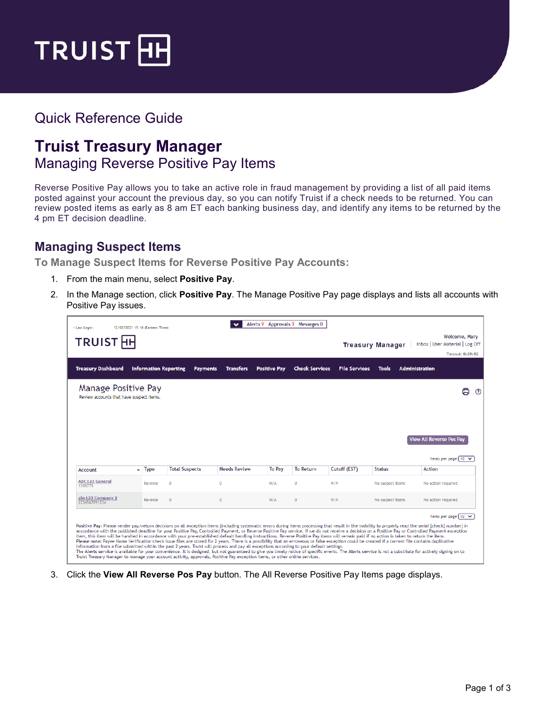

## Quick Reference Guide

## **Truist Treasury Manager** Managing Reverse Positive Pay Items

Reverse Positive Pay allows you to take an active role in fraud management by providing a list of all paid items posted against your account the previous day, so you can notify Truist if a check needs to be returned. You can review posted items as early as 8 am ET each banking business day, and identify any items to be returned by the 4 pm ET decision deadline.

## **Managing Suspect Items**

**To Manage Suspect Items for Reverse Positive Pay Accounts:**

- 1. From the main menu, select **Positive Pay**.
- 2. In the Manage section, click **Positive Pay**. The Manage Positive Pay page displays and lists all accounts with Positive Pay issues.

| <b>Treasury Dashboard</b>                                       | <b>Information Reporting</b> | <b>Payments</b>       | <b>Transfers</b>    | <b>Positive Pay</b> | <b>Check Services</b> | <b>File Services</b> | Tools            | <b>Administration</b>           |                     |
|-----------------------------------------------------------------|------------------------------|-----------------------|---------------------|---------------------|-----------------------|----------------------|------------------|---------------------------------|---------------------|
| Manage Positive Pay<br>Review accounts that have suspect items. |                              |                       |                     |                     |                       |                      |                  |                                 | <u>(?)</u>          |
|                                                                 |                              |                       |                     |                     |                       |                      |                  | <b>View All Reverse Pos Pay</b> |                     |
|                                                                 |                              |                       |                     |                     |                       |                      |                  |                                 |                     |
|                                                                 | $\sim$ Type                  | <b>Total Suspects</b> | <b>Needs Review</b> | <b>To Pav</b>       | <b>To Return</b>      | Cutoff (EST)         | <b>Status</b>    | <b>Action</b>                   | Items per page [ 10 |
| Account<br><b>ABC123 General</b><br>1338773                     | Reverse                      | $\Omega$              | $\Omega$            | N/A                 | $\Omega$              | N/A                  | No suspect items |                                 | No action required  |
| abc123 Company 2<br>2234567891234                               | Reverse                      | $\mathbf{0}$          | $\Omega$            | N/A                 | $\overline{0}$        | N/A                  | No suspect items |                                 | No action required  |

3. Click the **View All Reverse Pos Pay** button. The All Reverse Positive Pay Items page displays.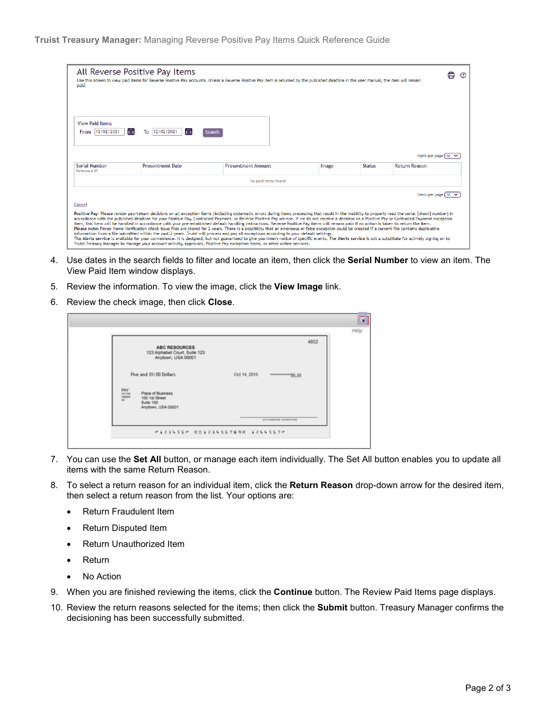| All Reverse Positive Pay Items<br>paid.        |                                 | Use this screen to view paid items for Reverse Positive Pay accounts. Unless a Reverse Positive Pay item is returned by the published deadline in the user manual, the item will remain                                                                                                                                                                                                                                                                                                                                                                                                                                                                                                                                                                                                                                                                                                                                                                                                                                                                                                                                                                                                                                                                                                                        |       |               | ⊟<br>$\binom{2}{3}$  |
|------------------------------------------------|---------------------------------|----------------------------------------------------------------------------------------------------------------------------------------------------------------------------------------------------------------------------------------------------------------------------------------------------------------------------------------------------------------------------------------------------------------------------------------------------------------------------------------------------------------------------------------------------------------------------------------------------------------------------------------------------------------------------------------------------------------------------------------------------------------------------------------------------------------------------------------------------------------------------------------------------------------------------------------------------------------------------------------------------------------------------------------------------------------------------------------------------------------------------------------------------------------------------------------------------------------------------------------------------------------------------------------------------------------|-------|---------------|----------------------|
| <b>View Paid Items</b><br>直<br>From 12/02/2021 | 同<br>12/02/2021<br>To<br>Search |                                                                                                                                                                                                                                                                                                                                                                                                                                                                                                                                                                                                                                                                                                                                                                                                                                                                                                                                                                                                                                                                                                                                                                                                                                                                                                                |       |               |                      |
|                                                |                                 |                                                                                                                                                                                                                                                                                                                                                                                                                                                                                                                                                                                                                                                                                                                                                                                                                                                                                                                                                                                                                                                                                                                                                                                                                                                                                                                |       |               | Items per page [ 10  |
| <b>Serial Number</b><br>Reference ID           | <b>Presentment Date</b>         | <b>Presentment Amount</b>                                                                                                                                                                                                                                                                                                                                                                                                                                                                                                                                                                                                                                                                                                                                                                                                                                                                                                                                                                                                                                                                                                                                                                                                                                                                                      | Image | <b>Status</b> | <b>Return Reason</b> |
|                                                |                                 | No paid items found                                                                                                                                                                                                                                                                                                                                                                                                                                                                                                                                                                                                                                                                                                                                                                                                                                                                                                                                                                                                                                                                                                                                                                                                                                                                                            |       |               |                      |
| Cancel                                         |                                 |                                                                                                                                                                                                                                                                                                                                                                                                                                                                                                                                                                                                                                                                                                                                                                                                                                                                                                                                                                                                                                                                                                                                                                                                                                                                                                                |       |               | Items per page [ 10  |
|                                                |                                 | Positive Pay: Please render pay/return decisions on all exception items (including systematic errors during items processing that result in the inability to properly read the serial [check] number) in<br>accordance with the published deadline for your Positive Pay, Controlled Payment, or Reverse Positive Pay service. If we do not receive a decision on a Positive Pay or Controlled Payment exception<br>item, this item will be handled in accordance with your pre-established default handling instructions. Reverse Positive Pay items will remain paid if no action is taken to return the item.<br>Please note: Payee Name Verification check issue files are stored for 2 years. There is a possibility that an erroneous or false exception could be created if a current file contains duplicative<br>information from a file submitted within the past 2 years. Truist will process and pay all exceptions according to your default settings.<br>The Alerts service is available for your convenience. It is designed, but not guaranteed to give you timely notice of specific events. The Alerts service is not a substitute for actively signing on to<br>Truist Treasury Manager to manage your account activity, approvals, Positive Pay exception items, or other online services, |       |               |                      |

- 4. Use dates in the search fields to filter and locate an item, then click the **Serial Number** to view an item. The View Paid Item window displays.
- 5. Review the information. To view the image, click the **View Image** link.
- 6. Review the check image, then click **Close**.

|                         | <b>ABC RESOURCES</b><br>123 Alphabet Court, Suite 123<br>Anytown, USA 00001 |              |                       | 4852 |
|-------------------------|-----------------------------------------------------------------------------|--------------|-----------------------|------|
|                         | Five and 01/00 Dollars                                                      | Oct 14, 2015 | ***************\$5.01 |      |
| $PAY$<br>TO DE<br>ORDER | Place of Business<br>100 1st Street<br>Suite 100<br>Anytown, USA 00001      |              |                       |      |
|                         |                                                                             |              | AUTHORIZED EXCHATURE  |      |

- 7. You can use the **Set All** button, or manage each item individually. The Set All button enables you to update all items with the same Return Reason.
- 8. To select a return reason for an individual item, click the **Return Reason** drop-down arrow for the desired item, then select a return reason from the list. Your options are:
	- Return Fraudulent Item
	- Return Disputed Item
	- Return Unauthorized Item
	- Return
	- No Action
- 9. When you are finished reviewing the items, click the **Continue** button. The Review Paid Items page displays.
- 10. Review the return reasons selected for the items; then click the **Submit** button. Treasury Manager confirms the decisioning has been successfully submitted.